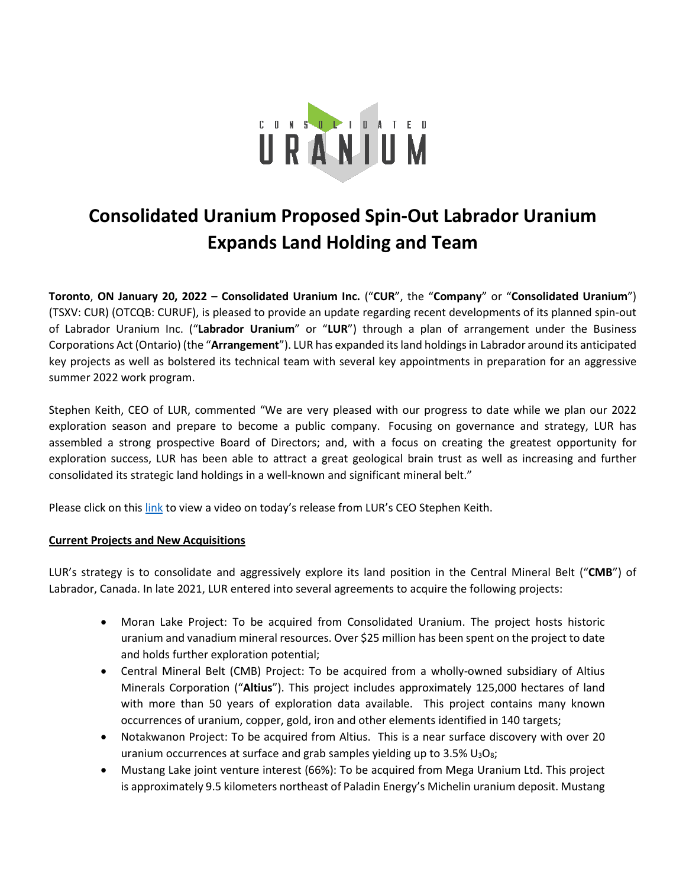

# **Consolidated Uranium Proposed Spin-Out Labrador Uranium Expands Land Holding and Team**

**Toronto**, **ON January 20, 2022 – Consolidated Uranium Inc.** ("**CUR**", the "**Company**" or "**Consolidated Uranium**") (TSXV: CUR) (OTCQB: CURUF), is pleased to provide an update regarding recent developments of its planned spin-out of Labrador Uranium Inc. ("**Labrador Uranium**" or "**LUR**") through a plan of arrangement under the Business Corporations Act (Ontario) (the "**Arrangement**"). LUR has expanded its land holdings in Labrador around its anticipated key projects as well as bolstered its technical team with several key appointments in preparation for an aggressive summer 2022 work program.

Stephen Keith, CEO of LUR, commented "We are very pleased with our progress to date while we plan our 2022 exploration season and prepare to become a public company. Focusing on governance and strategy, LUR has assembled a strong prospective Board of Directors; and, with a focus on creating the greatest opportunity for exploration success, LUR has been able to attract a great geological brain trust as well as increasing and further consolidated its strategic land holdings in a well-known and significant mineral belt."

Please click on thi[s link](https://www.youtube.com/watch?v=jWMD2296KOM) to view a video on today's release from LUR's CEO Stephen Keith.

# **Current Projects and New Acquisitions**

LUR's strategy is to consolidate and aggressively explore its land position in the Central Mineral Belt ("**CMB**") of Labrador, Canada. In late 2021, LUR entered into several agreements to acquire the following projects:

- Moran Lake Project: To be acquired from Consolidated Uranium. The project hosts historic uranium and vanadium mineral resources. Over \$25 million has been spent on the project to date and holds further exploration potential;
- Central Mineral Belt (CMB) Project: To be acquired from a wholly-owned subsidiary of Altius Minerals Corporation ("**Altius**"). This project includes approximately 125,000 hectares of land with more than 50 years of exploration data available. This project contains many known occurrences of uranium, copper, gold, iron and other elements identified in 140 targets;
- Notakwanon Project: To be acquired from Altius. This is a near surface discovery with over 20 uranium occurrences at surface and grab samples yielding up to  $3.5\%$  U<sub>3</sub>O<sub>8</sub>;
- Mustang Lake joint venture interest (66%): To be acquired from Mega Uranium Ltd. This project is approximately 9.5 kilometers northeast of Paladin Energy's Michelin uranium deposit. Mustang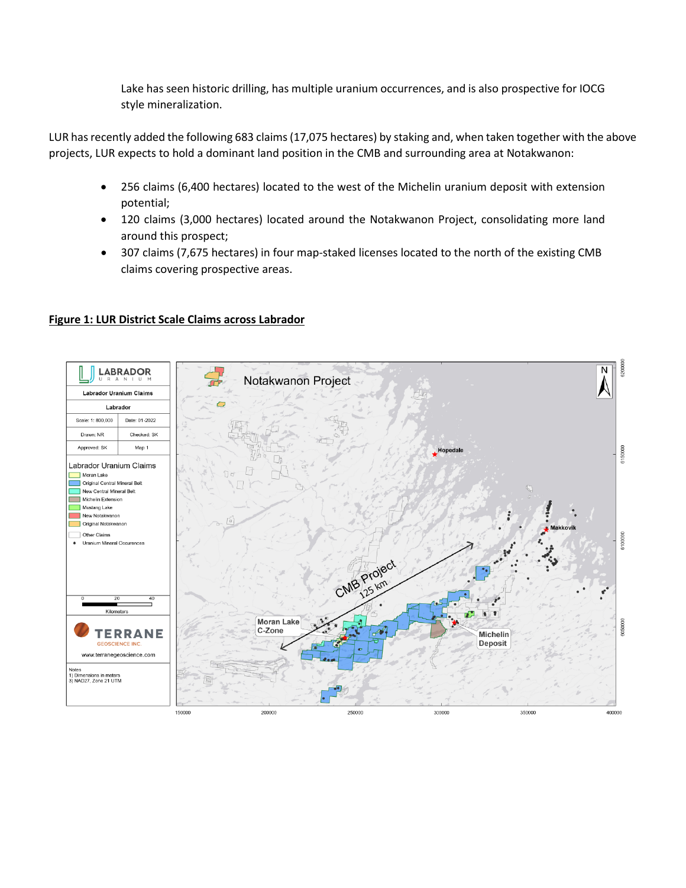Lake has seen historic drilling, has multiple uranium occurrences, and is also prospective for IOCG style mineralization.

LUR has recently added the following 683 claims(17,075 hectares) by staking and, when taken together with the above projects, LUR expects to hold a dominant land position in the CMB and surrounding area at Notakwanon:

- 256 claims (6,400 hectares) located to the west of the Michelin uranium deposit with extension potential;
- 120 claims (3,000 hectares) located around the Notakwanon Project, consolidating more land around this prospect;
- 307 claims (7,675 hectares) in four map-staked licenses located to the north of the existing CMB claims covering prospective areas.



### **Figure 1: LUR District Scale Claims across Labrador**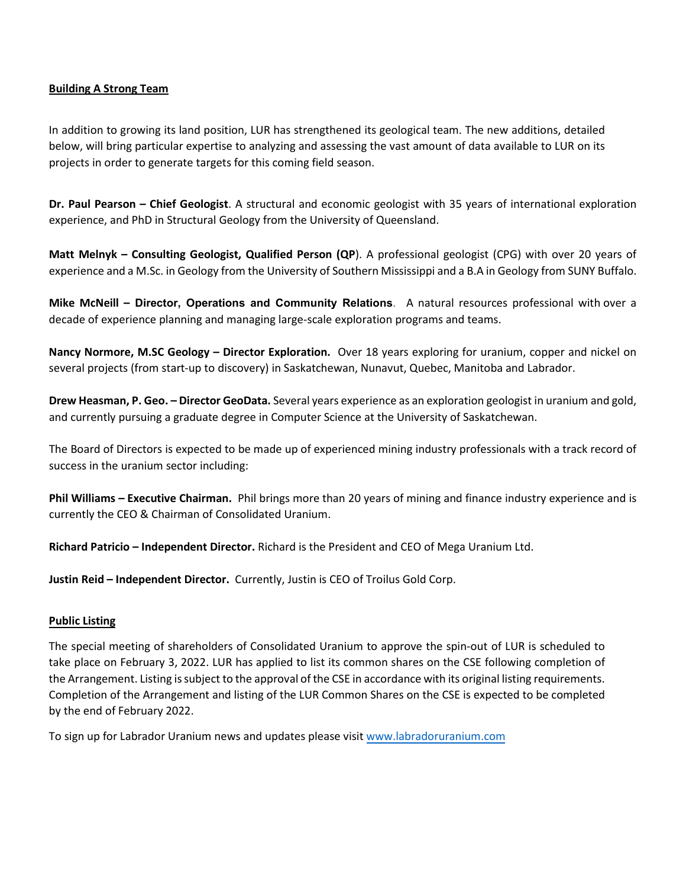#### **Building A Strong Team**

In addition to growing its land position, LUR has strengthened its geological team. The new additions, detailed below, will bring particular expertise to analyzing and assessing the vast amount of data available to LUR on its projects in order to generate targets for this coming field season.

**Dr. Paul Pearson – Chief Geologist**. A structural and economic geologist with 35 years of international exploration experience, and PhD in Structural Geology from the University of Queensland.

**Matt Melnyk – Consulting Geologist, Qualified Person (QP**). A professional geologist (CPG) with over 20 years of experience and a M.Sc. in Geology from the University of Southern Mississippi and a B.A in Geology from SUNY Buffalo.

**Mike McNeill – Director, Operations and Community Relations**. A natural resources professional with over a decade of experience planning and managing large-scale exploration programs and teams.

**Nancy Normore, M.SC Geology – Director Exploration.** Over 18 years exploring for uranium, copper and nickel on several projects (from start-up to discovery) in Saskatchewan, Nunavut, Quebec, Manitoba and Labrador.

**Drew Heasman, P. Geo. – Director GeoData.** Several years experience as an exploration geologist in uranium and gold, and currently pursuing a graduate degree in Computer Science at the University of Saskatchewan.

The Board of Directors is expected to be made up of experienced mining industry professionals with a track record of success in the uranium sector including:

**Phil Williams – Executive Chairman.** Phil brings more than 20 years of mining and finance industry experience and is currently the CEO & Chairman of Consolidated Uranium.

**Richard Patricio – Independent Director.** Richard is the President and CEO of Mega Uranium Ltd.

**Justin Reid – Independent Director.** Currently, Justin is CEO of Troilus Gold Corp.

#### **Public Listing**

The special meeting of shareholders of Consolidated Uranium to approve the spin-out of LUR is scheduled to take place on February 3, 2022. LUR has applied to list its common shares on the CSE following completion of the Arrangement. Listing is subject to the approval of the CSE in accordance with its original listing requirements. Completion of the Arrangement and listing of the LUR Common Shares on the CSE is expected to be completed by the end of February 2022.

To sign up for Labrador Uranium news and updates please visit [www.labradoruranium.com](http://www.labradoruranium.com/)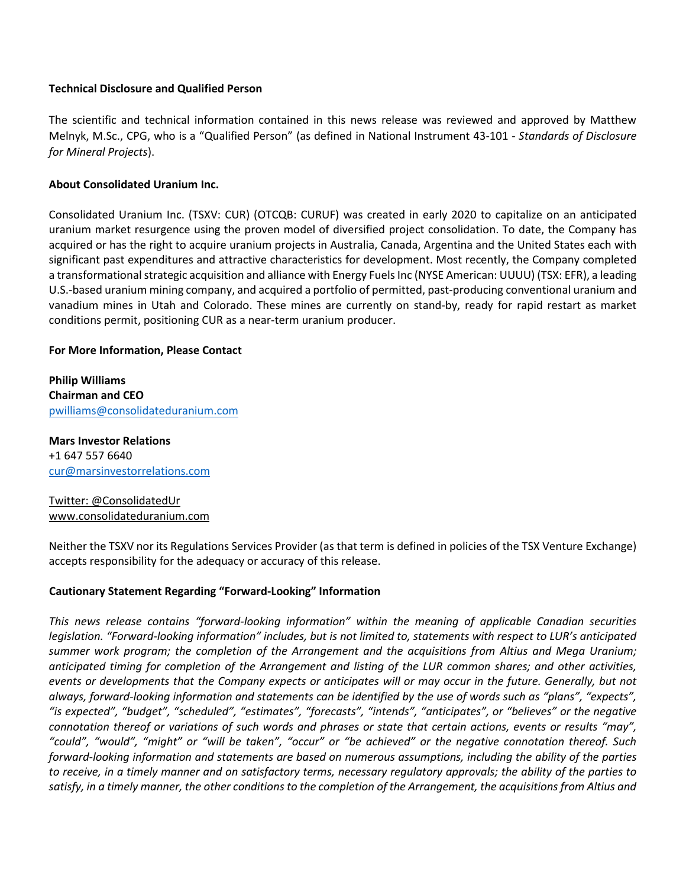#### **Technical Disclosure and Qualified Person**

The scientific and technical information contained in this news release was reviewed and approved by Matthew Melnyk, M.Sc., CPG, who is a "Qualified Person" (as defined in National Instrument 43-101 - *Standards of Disclosure for Mineral Projects*).

### **About Consolidated Uranium Inc.**

Consolidated Uranium Inc. (TSXV: CUR) (OTCQB: CURUF) was created in early 2020 to capitalize on an anticipated uranium market resurgence using the proven model of diversified project consolidation. To date, the Company has acquired or has the right to acquire uranium projects in Australia, Canada, Argentina and the United States each with significant past expenditures and attractive characteristics for development. Most recently, the Company completed a transformational strategic acquisition and alliance with Energy Fuels Inc (NYSE American: UUUU) (TSX: EFR), a leading U.S.-based uranium mining company, and acquired a portfolio of permitted, past-producing conventional uranium and vanadium mines in Utah and Colorado. These mines are currently on stand-by, ready for rapid restart as market conditions permit, positioning CUR as a near-term uranium producer.

### **For More Information, Please Contact**

**Philip Williams Chairman and CEO**  [pwilliams@consolidateduranium.com](mailto:pwilliams@consolidateduranium.com)

**Mars Investor Relations** +1 647 557 6640 [cur@marsinvestorrelations.com](mailto:cur@marsinvestorrelations.com)

# Twitter: @ConsolidatedUr www.consolidateduranium.com

Neither the TSXV nor its Regulations Services Provider (as that term is defined in policies of the TSX Venture Exchange) accepts responsibility for the adequacy or accuracy of this release.

#### **Cautionary Statement Regarding "Forward-Looking" Information**

*This news release contains "forward-looking information" within the meaning of applicable Canadian securities legislation. "Forward-looking information" includes, but is not limited to, statements with respect to LUR's anticipated summer work program; the completion of the Arrangement and the acquisitions from Altius and Mega Uranium; anticipated timing for completion of the Arrangement and listing of the LUR common shares; and other activities, events or developments that the Company expects or anticipates will or may occur in the future. Generally, but not always, forward-looking information and statements can be identified by the use of words such as "plans", "expects", "is expected", "budget", "scheduled", "estimates", "forecasts", "intends", "anticipates", or "believes" or the negative connotation thereof or variations of such words and phrases or state that certain actions, events or results "may", "could", "would", "might" or "will be taken", "occur" or "be achieved" or the negative connotation thereof. Such forward-looking information and statements are based on numerous assumptions, including the ability of the parties to receive, in a timely manner and on satisfactory terms, necessary regulatory approvals; the ability of the parties to satisfy, in a timely manner, the other conditions to the completion of the Arrangement, the acquisitions from Altius and*